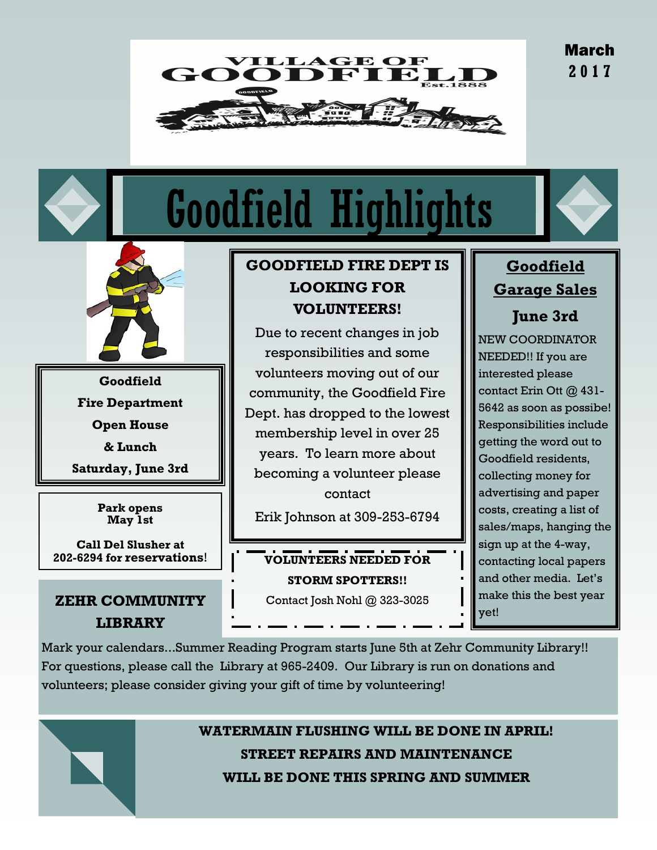March **2 0 1 7**



# Goodfield Highlights



**Goodfield Fire Department Open House & Lunch**

**Saturday, June 3rd**

**Park opens May 1st**

**Call Del Slusher at**

# **ZEHR COMMUNITY LIBRARY**

# **GOODFIELD FIRE DEPT IS LOOKING FOR VOLUNTEERS!**

Due to recent changes in job responsibilities and some volunteers moving out of our community, the Goodfield Fire Dept. has dropped to the lowest membership level in over 25 years. To learn more about becoming a volunteer please contact

Erik Johnson at 309-253-6794

**202-6294 for reservations**! **VOLUNTEERS NEEDED FOR STORM SPOTTERS!!** Contact Josh Nohl @ 323-3025

# **Goodfield Garage Sales**

**June 3rd**

NEW COORDINATOR NEEDED!! If you are interested please contact Erin Ott @ 431- 5642 as soon as possibe! Responsibilities include getting the word out to Goodfield residents, collecting money for advertising and paper costs, creating a list of sales/maps, hanging the sign up at the 4-way, contacting local papers and other media. Let's make this the best year yet!

Mark your calendars...Summer Reading Program starts June 5th at Zehr Community Library!! For questions, please call the Library at 965-2409. Our Library is run on donations and volunteers; please consider giving your gift of time by volunteering!



**WATERMAIN FLUSHING WILL BE DONE IN APRIL! STREET REPAIRS AND MAINTENANCE WILL BE DONE THIS SPRING AND SUMMER**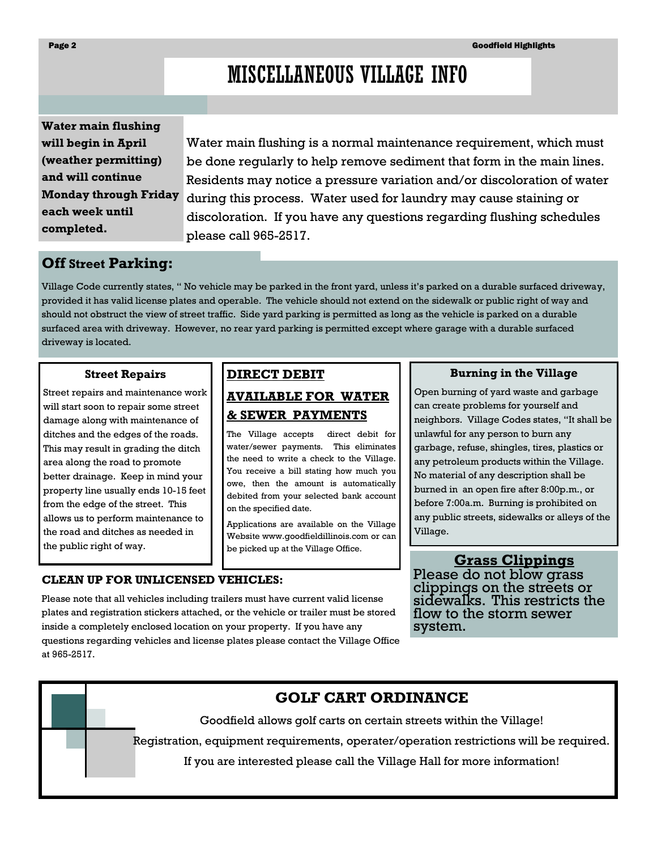# MISCELLANEOUS VILLAGE INFO

**Water main flushing will begin in April (weather permitting) and will continue Monday through Friday each week until completed.**

Water main flushing is a normal maintenance requirement, which must be done regularly to help remove sediment that form in the main lines. Residents may notice a pressure variation and/or discoloration of water during this process. Water used for laundry may cause staining or discoloration. If you have any questions regarding flushing schedules please call 965-2517.

# **Off Street Parking:**

Village Code currently states, " No vehicle may be parked in the front yard, unless it's parked on a durable surfaced driveway, provided it has valid license plates and operable. The vehicle should not extend on the sidewalk or public right of way and should not obstruct the view of street traffic. Side yard parking is permitted as long as the vehicle is parked on a durable surfaced area with driveway. However, no rear yard parking is permitted except where garage with a durable surfaced driveway is located.

#### **Street Repairs**

Street repairs and maintenance work will start soon to repair some street damage along with maintenance of ditches and the edges of the roads. This may result in grading the ditch area along the road to promote better drainage. Keep in mind your property line usually ends 10-15 feet from the edge of the street. This allows us to perform maintenance to the road and ditches as needed in the public right of way.

# **DIRECT DEBIT AVAILABLE FOR WATER & SEWER PAYMENTS**

The Village accepts direct debit for water/sewer payments. This eliminates the need to write a check to the Village. You receive a bill stating how much you owe, then the amount is automatically debited from your selected bank account on the specified date.

Applications are available on the Village Website www.goodfieldillinois.com or can be picked up at the Village Office.

#### **CLEAN UP FOR UNLICENSED VEHICLES:**

Please note that all vehicles including trailers must have current valid license plates and registration stickers attached, or the vehicle or trailer must be stored inside a completely enclosed location on your property. If you have any questions regarding vehicles and license plates please contact the Village Office at 965-2517.

#### **Burning in the Village**

Open burning of yard waste and garbage can create problems for yourself and neighbors. Village Codes states, "It shall be unlawful for any person to burn any garbage, refuse, shingles, tires, plastics or any petroleum products within the Village. No material of any description shall be burned in an open fire after 8:00p.m., or before 7:00a.m. Burning is prohibited on any public streets, sidewalks or alleys of the Village.

#### **Grass Clippings**

Please do not blow grass clippings on the streets or sidewalks. This restricts the flow to the storm sewer system.

# **GOLF CART ORDINANCE**

Goodfield allows golf carts on certain streets within the Village!

Registration, equipment requirements, operater/operation restrictions will be required.

If you are interested please call the Village Hall for more information!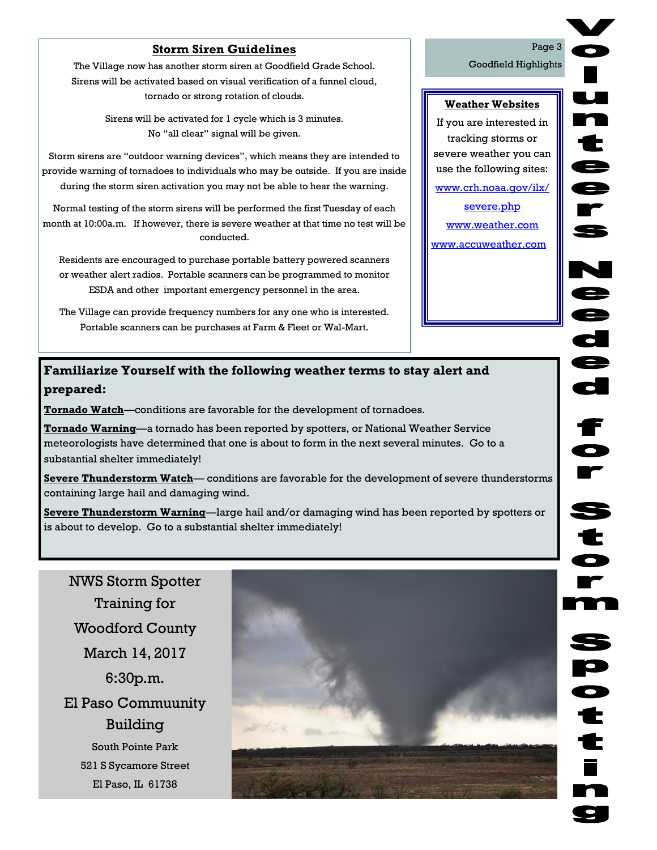## **Storm Siren Guidelines**

The Village now has another storm siren at Goodfield Grade School. Sirens will be activated based on visual verification of a funnel cloud, tornado or strong rotation of clouds.

> Sirens will be activated for 1 cycle which is 3 minutes. No "all clear" signal will be given.

Storm sirens are "outdoor warning devices", which means they are intended to provide warning of tornadoes to individuals who may be outside. If you are inside during the storm siren activation you may not be able to hear the warning.

Normal testing of the storm sirens will be performed the first Tuesday of each month at 10:00a.m. If however, there is severe weather at that time no test will be conducted.

Residents are encouraged to purchase portable battery powered scanners or weather alert radios. Portable scanners can be programmed to monitor ESDA and other important emergency personnel in the area.

The Village can provide frequency numbers for any one who is interested. Portable scanners can be purchases at Farm & Fleet or Wal-Mart.

## **Familiarize Yourself with the following weather terms to stay alert and prepared:**

**Tornado Watch**—conditions are favorable for the development of tornadoes.

**Tornado Warning**—a tornado has been reported by spotters, or National Weather Service meteorologists have determined that one is about to form in the next several minutes. Go to a substantial shelter immediately!

**Severe Thunderstorm Watch**— conditions are favorable for the development of severe thunderstorms containing large hail and damaging wind.

**Severe Thunderstorm Warning**—large hail and/or damaging wind has been reported by spotters or is about to develop. Go to a substantial shelter immediately!

NWS Storm Spotter Training for Woodford County March 14, 2017 6:30p.m. El Paso Commuunity Building South Pointe Park 521 S Sycamore Street El Paso, IL 61738



**P** 

Goodfield Highlights

**Weather Websites** If you are interested in tracking storms or severe weather you can use the following sites: www.crh.noaa.gov/ilx/ severe.php www.weather.com www.accuweather.com